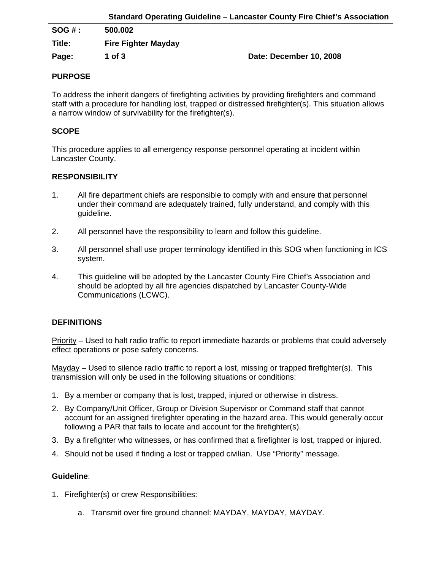|        |                            | Standard Operating Guideline – Lancaster County Fire Chief's Association |
|--------|----------------------------|--------------------------------------------------------------------------|
| SOG#:  | 500.002                    |                                                                          |
| Title: | <b>Fire Fighter Mayday</b> |                                                                          |
| Page:  | 1 of $3$                   | Date: December 10, 2008                                                  |

# **PURPOSE**

To address the inherit dangers of firefighting activities by providing firefighters and command staff with a procedure for handling lost, trapped or distressed firefighter(s). This situation allows a narrow window of survivability for the firefighter(s).

# **SCOPE**

This procedure applies to all emergency response personnel operating at incident within Lancaster County.

# **RESPONSIBILITY**

- 1. All fire department chiefs are responsible to comply with and ensure that personnel under their command are adequately trained, fully understand, and comply with this guideline.
- 2. All personnel have the responsibility to learn and follow this guideline.
- 3. All personnel shall use proper terminology identified in this SOG when functioning in ICS system.
- 4. This guideline will be adopted by the Lancaster County Fire Chief's Association and should be adopted by all fire agencies dispatched by Lancaster County-Wide Communications (LCWC).

## **DEFINITIONS**

Priority – Used to halt radio traffic to report immediate hazards or problems that could adversely effect operations or pose safety concerns.

Mayday – Used to silence radio traffic to report a lost, missing or trapped firefighter(s). This transmission will only be used in the following situations or conditions:

- 1. By a member or company that is lost, trapped, injured or otherwise in distress.
- 2. By Company/Unit Officer, Group or Division Supervisor or Command staff that cannot account for an assigned firefighter operating in the hazard area. This would generally occur following a PAR that fails to locate and account for the firefighter(s).
- 3. By a firefighter who witnesses, or has confirmed that a firefighter is lost, trapped or injured.
- 4. Should not be used if finding a lost or trapped civilian. Use "Priority" message.

## **Guideline**:

- 1. Firefighter(s) or crew Responsibilities:
	- a. Transmit over fire ground channel: MAYDAY, MAYDAY, MAYDAY.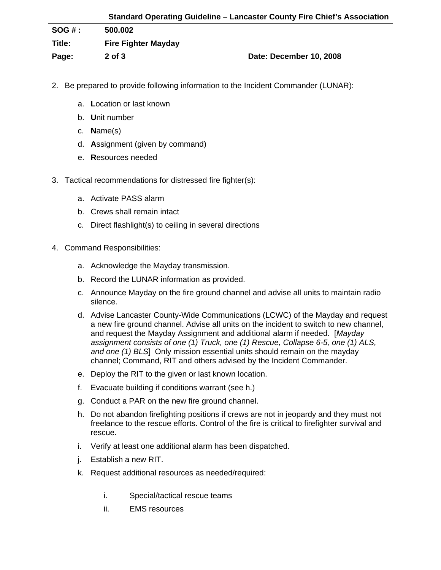|          | <b>Standard Operating Guideline - Lancaster County Fire Chief's Association</b> |                         |  |
|----------|---------------------------------------------------------------------------------|-------------------------|--|
| $SOG#$ : | 500.002                                                                         |                         |  |
| Title:   | <b>Fire Fighter Mayday</b>                                                      |                         |  |
| Page:    | $2$ of $3$                                                                      | Date: December 10, 2008 |  |

- 2. Be prepared to provide following information to the Incident Commander (LUNAR):
	- a. **L**ocation or last known
	- b. **U**nit number
	- c. **N**ame(s)
	- d. **A**ssignment (given by command)
	- e. **R**esources needed
- 3. Tactical recommendations for distressed fire fighter(s):
	- a. Activate PASS alarm
	- b. Crews shall remain intact
	- c. Direct flashlight(s) to ceiling in several directions
- 4. Command Responsibilities:
	- a. Acknowledge the Mayday transmission.
	- b. Record the LUNAR information as provided.
	- c. Announce Mayday on the fire ground channel and advise all units to maintain radio silence.
	- d. Advise Lancaster County-Wide Communications (LCWC) of the Mayday and request a new fire ground channel. Advise all units on the incident to switch to new channel, and request the Mayday Assignment and additional alarm if needed. [*Mayday assignment consists of one (1) Truck, one (1) Rescue, Collapse 6-5, one (1) ALS, and one (1) BLS*] Only mission essential units should remain on the mayday channel; Command, RIT and others advised by the Incident Commander.
	- e. Deploy the RIT to the given or last known location.
	- f. Evacuate building if conditions warrant (see h.)
	- g. Conduct a PAR on the new fire ground channel.
	- h. Do not abandon firefighting positions if crews are not in jeopardy and they must not freelance to the rescue efforts. Control of the fire is critical to firefighter survival and rescue.
	- i. Verify at least one additional alarm has been dispatched.
	- j. Establish a new RIT.
	- k. Request additional resources as needed/required:
		- i. Special/tactical rescue teams
		- ii. EMS resources